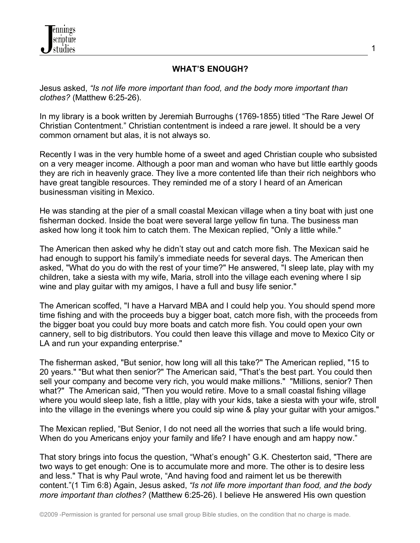

## **WHAT'S ENOUGH?**

Jesus asked, *"Is not life more important than food, and the body more important than clothes?* (Matthew 6:25-26).

In my library is a book written by Jeremiah Burroughs (1769-1855) titled "The Rare Jewel Of Christian Contentment." Christian contentment is indeed a rare jewel. It should be a very common ornament but alas, it is not always so.

Recently I was in the very humble home of a sweet and aged Christian couple who subsisted on a very meager income. Although a poor man and woman who have but little earthly goods they are rich in heavenly grace. They live a more contented life than their rich neighbors who have great tangible resources. They reminded me of a story I heard of an American businessman visiting in Mexico.

He was standing at the pier of a small coastal Mexican village when a tiny boat with just one fisherman docked. Inside the boat were several large yellow fin tuna. The business man asked how long it took him to catch them. The Mexican replied, "Only a little while."

The American then asked why he didn't stay out and catch more fish. The Mexican said he had enough to support his family's immediate needs for several days. The American then asked, "What do you do with the rest of your time?" He answered, "I sleep late, play with my children, take a siesta with my wife, Maria, stroll into the village each evening where I sip wine and play guitar with my amigos, I have a full and busy life senior."

The American scoffed, "I have a Harvard MBA and I could help you. You should spend more time fishing and with the proceeds buy a bigger boat, catch more fish, with the proceeds from the bigger boat you could buy more boats and catch more fish. You could open your own cannery, sell to big distributors. You could then leave this village and move to Mexico City or LA and run your expanding enterprise."

The fisherman asked, "But senior, how long will all this take?" The American replied, "15 to 20 years." "But what then senior?" The American said, "That's the best part. You could then sell your company and become very rich, you would make millions." "Millions, senior? Then what?" The American said, "Then you would retire. Move to a small coastal fishing village where you would sleep late, fish a little, play with your kids, take a siesta with your wife, stroll into the village in the evenings where you could sip wine & play your guitar with your amigos."

The Mexican replied, "But Senior, I do not need all the worries that such a life would bring. When do you Americans enjoy your family and life? I have enough and am happy now."

That story brings into focus the question, "What's enough" G.K. Chesterton said, "There are two ways to get enough: One is to accumulate more and more. The other is to desire less and less." That is why Paul wrote, "And having food and raiment let us be therewith content."(1 Tim 6:8) Again, Jesus asked, *"Is not life more important than food, and the body more important than clothes?* (Matthew 6:25-26). I believe He answered His own question